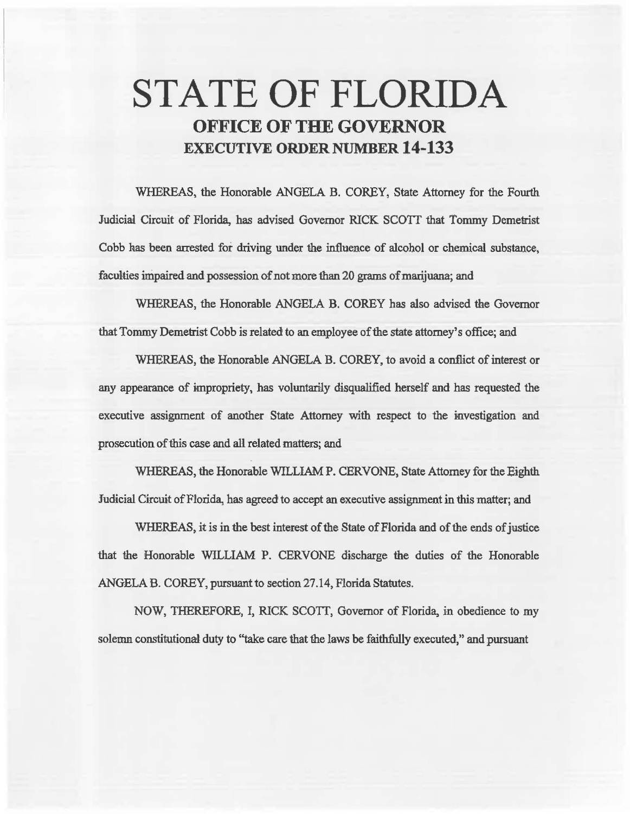# **STATE OF FLORIDA OFFICE OF THE GOVERNOR EXECUTIVE ORDER NUMBER 14-133**

WHEREAS, the Honorable ANGELA B. COREY, State Attorney for the Fourth Judicial Circuit of Florida, has advised Governor RICK SCOTT that Tommy Demetrist Cobb has been arrested for driving under the influence of alcohol or chemical substance, faculties impaired and possession of not more than 20 grams of marijuana; and

WHEREAS, the Honorable ANGELA B. COREY has also advised the Governor that Tommy Demetrist Cobb is related to an employee of the state attorney's office; and

WHEREAS, the Honorable ANGELA B. COREY, to avoid a conflict of interest or any appearance of impropriety, has voluntarily disqualified herself and has requested the executive assignment of another State Attorney with respect to the investigation and prosecution of this case and all related matters; and

WHEREAS, the Honorable WILLIAM P. CERVONE, State Attorney for the Eighth Judicial Circuit of Florida, has agreed to accept an executive assignment in this matter; and

WHEREAS, it is in the best interest of the State of Florida and of the ends of justice that the Honorable WILLIAM P. CERVONE discharge the duties of the Honorable ANGELA B. COREY, pursuant to section 27.14, Florida Statutes.

NOW, THEREFORE, I, RICK SCOIT, Governor of Florida, in obedience to my solemn constitutional duty to "take care that the laws be faithfully executed," and pursuant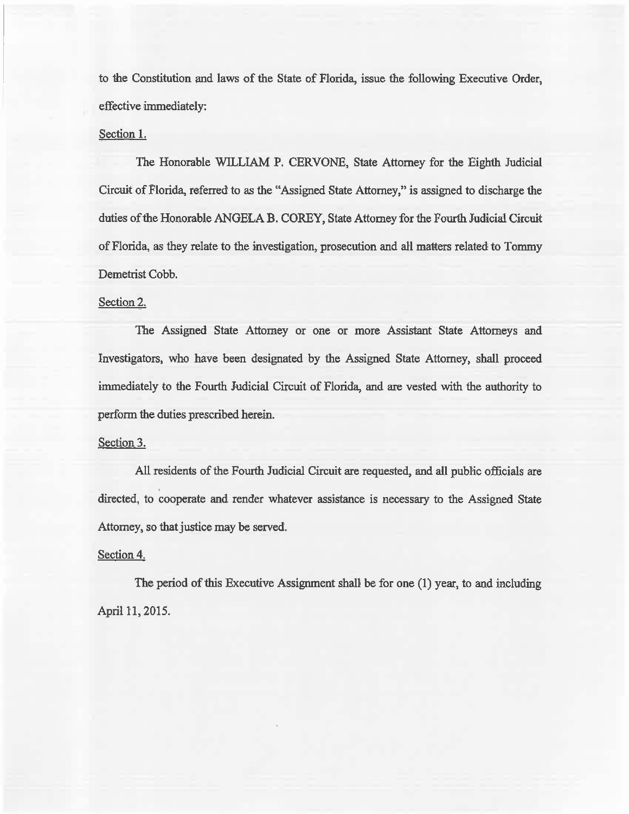to the Constitution and laws of the State of Florida, issue the following Executive Order, effective immediately:

## Section L

The Honorable WILLIAM P. CERVONE, State Attorney for the Eighth Judicial Circuit of Florida, referred to as the "Assigned State Attorney," is assigned to discharge the duties of the Honorable ANGELA B. COREY, State Attorney for the Fourth Judicial Circwt of Florida, as they relate to the investigation, prosecution and all matters related to Tommy Demetrist Cobb.

### Section 2.

The Assigned State Attorney or one or more Assistant State Attorneys and Investigators, who have been designated by the Assigned State Attorney, shall proceed immediately to the Fourth Judicial Circuit of Florida, and are vested with the authority to perform the duties prescribed herein.

#### Section 3.

All residents of the Fourth Judicial Circuit are requested, and all public officials are directed, to cooperate and render whatever assistance is necessary to the Assigned State Attorney, so that justice may be served.

### Section 4.

The period of this Executive Assignment shall be for one (1) year, to and including April 11, 2015.